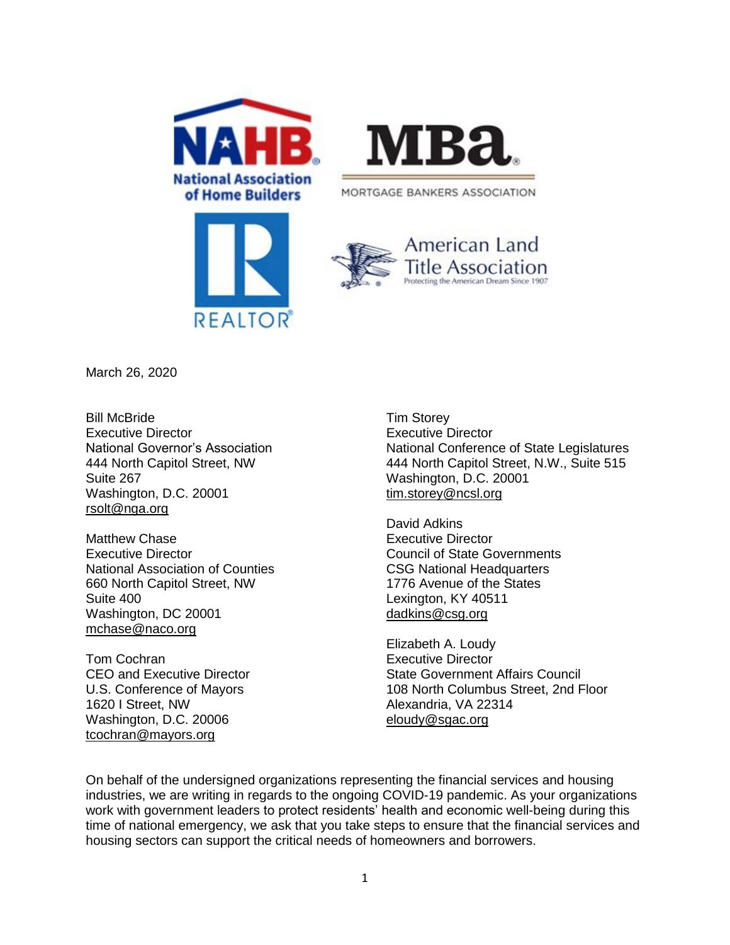



MORTGAGE BANKERS ASSOCIATION





March 26, 2020

Bill McBride Executive Director National Governor's Association 444 North Capitol Street, NW Suite 267 Washington, D.C. 20001 [rsolt@nga.org](mailto:rsolt@nga.org)

Matthew Chase Executive Director National Association of Counties 660 North Capitol Street, NW Suite 400 Washington, DC 20001 [mchase@naco.org](mailto:mchase@naco.org)

Tom Cochran CEO and Executive Director U.S. Conference of Mayors 1620 I Street, NW Washington, D.C. 20006 [tcochran@mayors.org](mailto:tcochran@mayors.org)

Tim Storey Executive Director National Conference of State Legislatures 444 North Capitol Street, N.W., Suite 515 Washington, D.C. 20001 [tim.storey@ncsl.org](mailto:tim.storey@ncsl.org)

David Adkins Executive Director Council of State Governments CSG National Headquarters 1776 Avenue of the States Lexington, KY 40511 [dadkins@csg.org](mailto:dadkins@csg.org)

Elizabeth A. Loudy Executive Director State Government Affairs Council 108 North Columbus Street, 2nd Floor Alexandria, VA 22314 [eloudy@sgac.org](mailto:eloudy@sgac.org)

On behalf of the undersigned organizations representing the financial services and housing industries, we are writing in regards to the ongoing COVID-19 pandemic. As your organizations work with government leaders to protect residents' health and economic well-being during this time of national emergency, we ask that you take steps to ensure that the financial services and housing sectors can support the critical needs of homeowners and borrowers.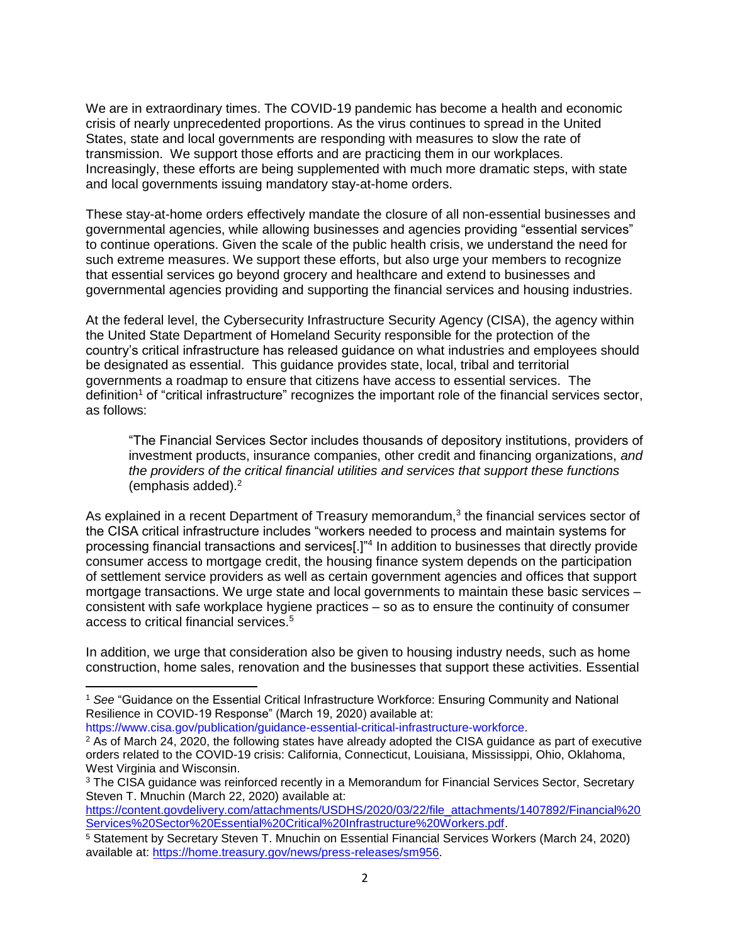We are in extraordinary times. The COVID-19 pandemic has become a health and economic crisis of nearly unprecedented proportions. As the virus continues to spread in the United States, state and local governments are responding with measures to slow the rate of transmission. We support those efforts and are practicing them in our workplaces. Increasingly, these efforts are being supplemented with much more dramatic steps, with state and local governments issuing mandatory stay-at-home orders.

These stay-at-home orders effectively mandate the closure of all non-essential businesses and governmental agencies, while allowing businesses and agencies providing "essential services" to continue operations. Given the scale of the public health crisis, we understand the need for such extreme measures. We support these efforts, but also urge your members to recognize that essential services go beyond grocery and healthcare and extend to businesses and governmental agencies providing and supporting the financial services and housing industries.

At the federal level, the Cybersecurity Infrastructure Security Agency (CISA), the agency within the United State Department of Homeland Security responsible for the protection of the country's critical infrastructure has released guidance on what industries and employees should be designated as essential. This guidance provides state, local, tribal and territorial governments a roadmap to ensure that citizens have access to essential services. The definition<sup>1</sup> of "critical infrastructure" recognizes the important role of the financial services sector, as follows:

"The Financial Services Sector includes thousands of depository institutions, providers of investment products, insurance companies, other credit and financing organizations, *and the providers of the critical financial utilities and services that support these functions*  (emphasis added).<sup>2</sup>

As explained in a recent Department of Treasury memorandum, $3$  the financial services sector of the CISA critical infrastructure includes "workers needed to process and maintain systems for processing financial transactions and services[.]"<sup>4</sup> In addition to businesses that directly provide consumer access to mortgage credit, the housing finance system depends on the participation of settlement service providers as well as certain government agencies and offices that support mortgage transactions. We urge state and local governments to maintain these basic services – consistent with safe workplace hygiene practices – so as to ensure the continuity of consumer access to critical financial services.<sup>5</sup>

In addition, we urge that consideration also be given to housing industry needs, such as home construction, home sales, renovation and the businesses that support these activities. Essential

[https://www.cisa.gov/publication/guidance-essential-critical-infrastructure-workforce.](https://www.cisa.gov/publication/guidance-essential-critical-infrastructure-workforce)

l

[https://content.govdelivery.com/attachments/USDHS/2020/03/22/file\\_attachments/1407892/Financial%20](https://content.govdelivery.com/attachments/USDHS/2020/03/22/file_attachments/1407892/Financial%20Services%20Sector%20Essential%20Critical%20Infrastructure%20Workers.pdf) [Services%20Sector%20Essential%20Critical%20Infrastructure%20Workers.pdf.](https://content.govdelivery.com/attachments/USDHS/2020/03/22/file_attachments/1407892/Financial%20Services%20Sector%20Essential%20Critical%20Infrastructure%20Workers.pdf)

<sup>1</sup> *See* "Guidance on the Essential Critical Infrastructure Workforce: Ensuring Community and National Resilience in COVID-19 Response" (March 19, 2020) available at:

<sup>&</sup>lt;sup>2</sup> As of March 24, 2020, the following states have already adopted the CISA guidance as part of executive orders related to the COVID-19 crisis: California, Connecticut, Louisiana, Mississippi, Ohio, Oklahoma, West Virginia and Wisconsin.

<sup>&</sup>lt;sup>3</sup> The CISA guidance was reinforced recently in a Memorandum for Financial Services Sector, Secretary Steven T. Mnuchin (March 22, 2020) available at:

<sup>5</sup> Statement by Secretary Steven T. Mnuchin on Essential Financial Services Workers (March 24, 2020) available at: [https://home.treasury.gov/news/press-releases/sm956.](https://home.treasury.gov/news/press-releases/sm956)